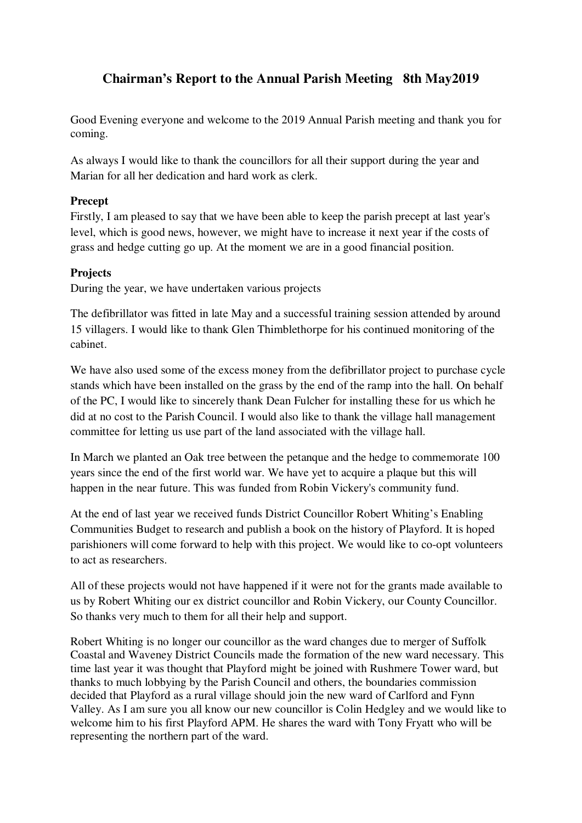# **Chairman's Report to the Annual Parish Meeting 8th May2019**

Good Evening everyone and welcome to the 2019 Annual Parish meeting and thank you for coming.

As always I would like to thank the councillors for all their support during the year and Marian for all her dedication and hard work as clerk.

# **Precept**

Firstly, I am pleased to say that we have been able to keep the parish precept at last year's level, which is good news, however, we might have to increase it next year if the costs of grass and hedge cutting go up. At the moment we are in a good financial position.

# **Projects**

During the year, we have undertaken various projects

The defibrillator was fitted in late May and a successful training session attended by around 15 villagers. I would like to thank Glen Thimblethorpe for his continued monitoring of the cabinet.

We have also used some of the excess money from the defibrillator project to purchase cycle stands which have been installed on the grass by the end of the ramp into the hall. On behalf of the PC, I would like to sincerely thank Dean Fulcher for installing these for us which he did at no cost to the Parish Council. I would also like to thank the village hall management committee for letting us use part of the land associated with the village hall.

In March we planted an Oak tree between the petanque and the hedge to commemorate 100 years since the end of the first world war. We have yet to acquire a plaque but this will happen in the near future. This was funded from Robin Vickery's community fund.

At the end of last year we received funds District Councillor Robert Whiting's Enabling Communities Budget to research and publish a book on the history of Playford. It is hoped parishioners will come forward to help with this project. We would like to co-opt volunteers to act as researchers.

All of these projects would not have happened if it were not for the grants made available to us by Robert Whiting our ex district councillor and Robin Vickery, our County Councillor. So thanks very much to them for all their help and support.

Robert Whiting is no longer our councillor as the ward changes due to merger of Suffolk Coastal and Waveney District Councils made the formation of the new ward necessary. This time last year it was thought that Playford might be joined with Rushmere Tower ward, but thanks to much lobbying by the Parish Council and others, the boundaries commission decided that Playford as a rural village should join the new ward of Carlford and Fynn Valley. As I am sure you all know our new councillor is Colin Hedgley and we would like to welcome him to his first Playford APM. He shares the ward with Tony Fryatt who will be representing the northern part of the ward.